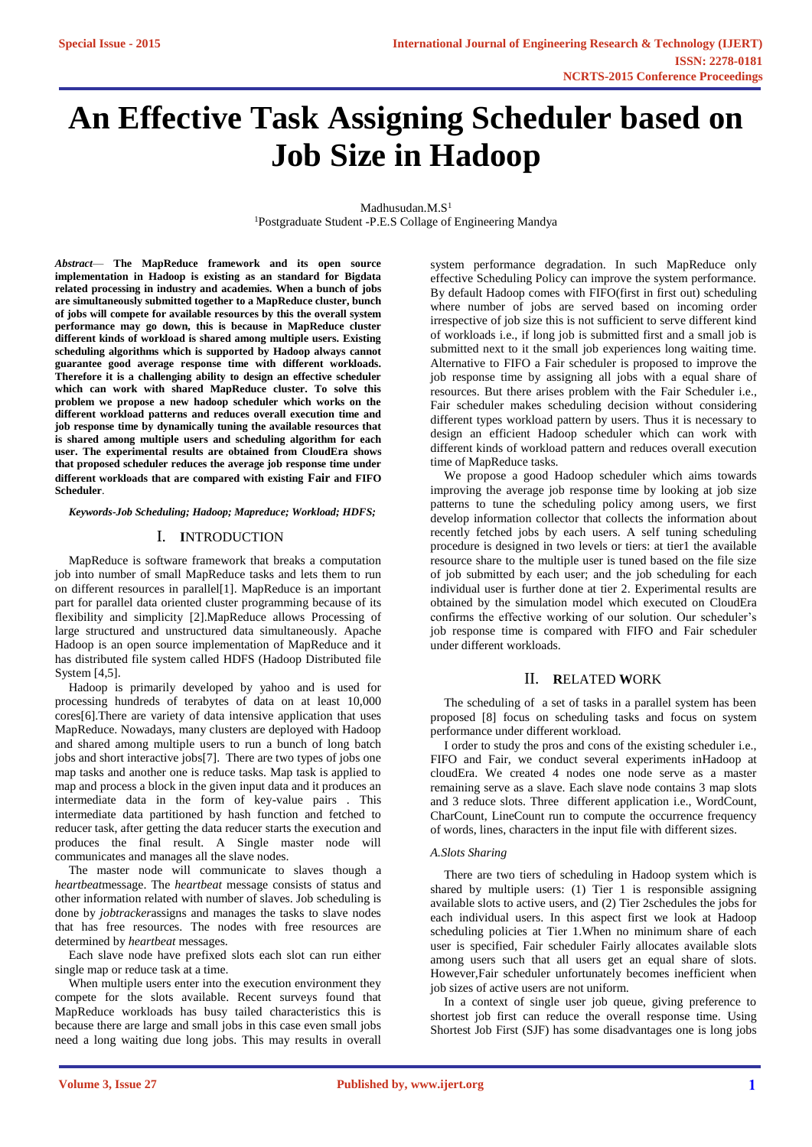# **An Effective Task Assigning Scheduler based on Job Size in Hadoop**

 $Madhusudan.M.S<sup>1</sup>$ <sup>1</sup>Postgraduate Student -P.E.S Collage of Engineering Mandya

*Abstract*— **The MapReduce framework and its open source implementation in Hadoop is existing as an standard for Bigdata related processing in industry and academies. When a bunch of jobs are simultaneously submitted together to a MapReduce cluster, bunch of jobs will compete for available resources by this the overall system performance may go down, this is because in MapReduce cluster different kinds of workload is shared among multiple users. Existing scheduling algorithms which is supported by Hadoop always cannot guarantee good average response time with different workloads. Therefore it is a challenging ability to design an effective scheduler which can work with shared MapReduce cluster. To solve this problem we propose a new hadoop scheduler which works on the different workload patterns and reduces overall execution time and job response time by dynamically tuning the available resources that is shared among multiple users and scheduling algorithm for each user. The experimental results are obtained from CloudEra shows that proposed scheduler reduces the average job response time under different workloads that are compared with existing Fair and FIFO Scheduler**.

*Keywords-Job Scheduling; Hadoop; Mapreduce; Workload; HDFS;*

## I. **I**NTRODUCTION

MapReduce is software framework that breaks a computation job into number of small MapReduce tasks and lets them to run on different resources in parallel[1]. MapReduce is an important part for parallel data oriented cluster programming because of its flexibility and simplicity [2].MapReduce allows Processing of large structured and unstructured data simultaneously. Apache Hadoop is an open source implementation of MapReduce and it has distributed file system called HDFS (Hadoop Distributed file System [4,5].

Hadoop is primarily developed by yahoo and is used for processing hundreds of terabytes of data on at least 10,000 cores[6].There are variety of data intensive application that uses MapReduce. Nowadays, many clusters are deployed with Hadoop and shared among multiple users to run a bunch of long batch jobs and short interactive jobs[7]. There are two types of jobs one map tasks and another one is reduce tasks. Map task is applied to map and process a block in the given input data and it produces an intermediate data in the form of key-value pairs . This intermediate data partitioned by hash function and fetched to reducer task, after getting the data reducer starts the execution and produces the final result. A Single master node will communicates and manages all the slave nodes.

The master node will communicate to slaves though a *heartbeat*message. The *heartbeat* message consists of status and other information related with number of slaves. Job scheduling is done by *jobtracker*assigns and manages the tasks to slave nodes that has free resources. The nodes with free resources are determined by *heartbeat* messages.

Each slave node have prefixed slots each slot can run either single map or reduce task at a time.

When multiple users enter into the execution environment they compete for the slots available. Recent surveys found that MapReduce workloads has busy tailed characteristics this is because there are large and small jobs in this case even small jobs need a long waiting due long jobs. This may results in overall

system performance degradation. In such MapReduce only effective Scheduling Policy can improve the system performance. By default Hadoop comes with FIFO(first in first out) scheduling where number of jobs are served based on incoming order irrespective of job size this is not sufficient to serve different kind of workloads i.e., if long job is submitted first and a small job is submitted next to it the small job experiences long waiting time. Alternative to FIFO a Fair scheduler is proposed to improve the job response time by assigning all jobs with a equal share of resources. But there arises problem with the Fair Scheduler i.e., Fair scheduler makes scheduling decision without considering different types workload pattern by users. Thus it is necessary to design an efficient Hadoop scheduler which can work with different kinds of workload pattern and reduces overall execution time of MapReduce tasks.

We propose a good Hadoop scheduler which aims towards improving the average job response time by looking at job size patterns to tune the scheduling policy among users, we first develop information collector that collects the information about recently fetched jobs by each users. A self tuning scheduling procedure is designed in two levels or tiers: at tier1 the available resource share to the multiple user is tuned based on the file size of job submitted by each user; and the job scheduling for each individual user is further done at tier 2. Experimental results are obtained by the simulation model which executed on CloudEra confirms the effective working of our solution. Our scheduler's job response time is compared with FIFO and Fair scheduler under different workloads.

## II. **R**ELATED **W**ORK

The scheduling of a set of tasks in a parallel system has been proposed [8] focus on scheduling tasks and focus on system performance under different workload.

I order to study the pros and cons of the existing scheduler i.e., FIFO and Fair, we conduct several experiments inHadoop at cloudEra. We created 4 nodes one node serve as a master remaining serve as a slave. Each slave node contains 3 map slots and 3 reduce slots. Three different application i.e., WordCount, CharCount, LineCount run to compute the occurrence frequency of words, lines, characters in the input file with different sizes.

#### *A.Slots Sharing*

There are two tiers of scheduling in Hadoop system which is shared by multiple users: (1) Tier 1 is responsible assigning available slots to active users, and (2) Tier 2schedules the jobs for each individual users. In this aspect first we look at Hadoop scheduling policies at Tier 1.When no minimum share of each user is specified, Fair scheduler Fairly allocates available slots among users such that all users get an equal share of slots. However,Fair scheduler unfortunately becomes inefficient when job sizes of active users are not uniform.

In a context of single user job queue, giving preference to shortest job first can reduce the overall response time. Using Shortest Job First (SJF) has some disadvantages one is long jobs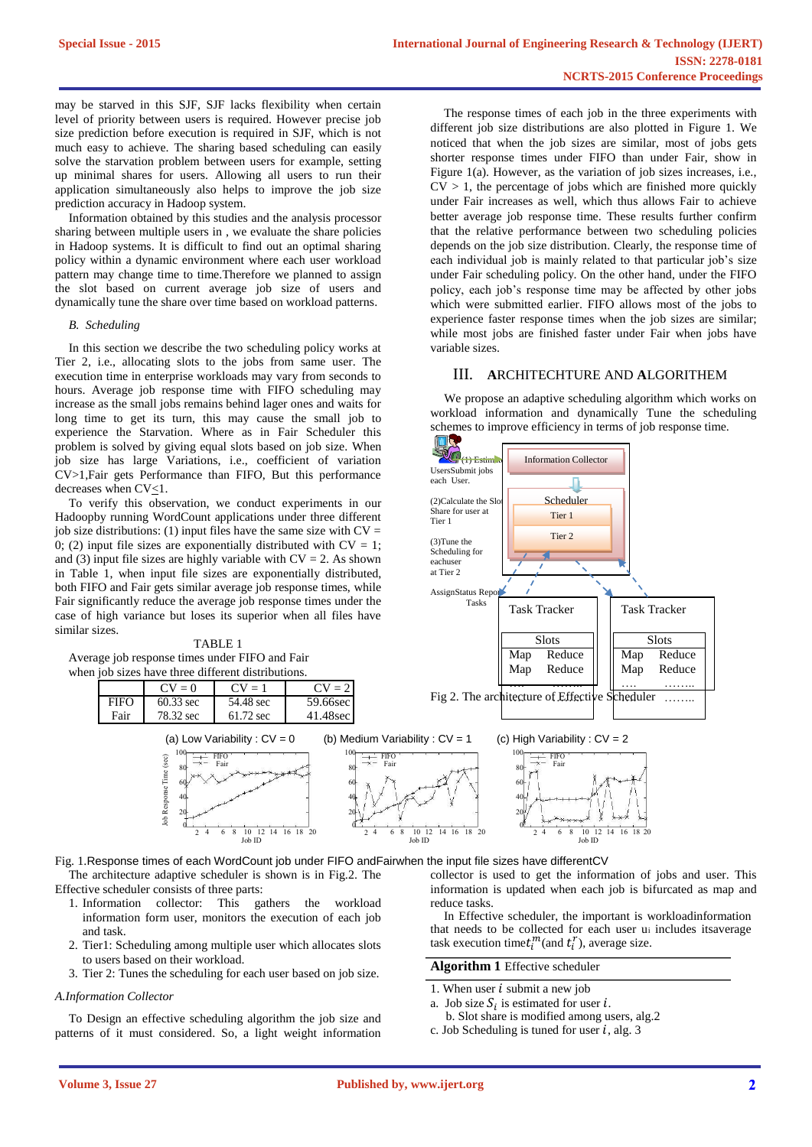may be starved in this SJF, SJF lacks flexibility when certain level of priority between users is required. However precise job size prediction before execution is required in SJF, which is not much easy to achieve. The sharing based scheduling can easily solve the starvation problem between users for example, setting up minimal shares for users. Allowing all users to run their application simultaneously also helps to improve the job size prediction accuracy in Hadoop system.

Information obtained by this studies and the analysis processor sharing between multiple users in , we evaluate the share policies in Hadoop systems. It is difficult to find out an optimal sharing policy within a dynamic environment where each user workload pattern may change time to time.Therefore we planned to assign the slot based on current average job size of users and dynamically tune the share over time based on workload patterns.

#### *B. Scheduling*

In this section we describe the two scheduling policy works at Tier 2, i.e., allocating slots to the jobs from same user. The execution time in enterprise workloads may vary from seconds to hours. Average job response time with FIFO scheduling may increase as the small jobs remains behind lager ones and waits for long time to get its turn, this may cause the small job to experience the Starvation. Where as in Fair Scheduler this problem is solved by giving equal slots based on job size. When job size has large Variations, i.e., coefficient of variation CV>1,Fair gets Performance than FIFO, But this performance decreases when CV<1.

To verify this observation, we conduct experiments in our Hadoopby running WordCount applications under three different job size distributions: (1) input files have the same size with  $CV =$ 0; (2) input file sizes are exponentially distributed with  $CV = 1$ ; and (3) input file sizes are highly variable with  $CV = 2$ . As shown in Table 1, when input file sizes are exponentially distributed, both FIFO and Fair gets similar average job response times, while Fair significantly reduce the average job response times under the case of high variance but loses its superior when all files have similar sizes.

Average job response times under FIFO and Fair

(sec)

Time

Response

Job

 $\overline{80}$ 



Fair  $\begin{array}{|c|c|c|c|c|c|}\n\hline\n\text{Fair} & \text{so} & \text{and} & \text{so} \n\end{array}$ 

The response times of each job in the three experiments with different job size distributions are also plotted in Figure 1. We noticed that when the job sizes are similar, most of jobs gets shorter response times under FIFO than under Fair, show in Figure 1(a). However, as the variation of job sizes increases, i.e.,  $CV > 1$ , the percentage of jobs which are finished more quickly under Fair increases as well, which thus allows Fair to achieve better average job response time. These results further confirm that the relative performance between two scheduling policies depends on the job size distribution. Clearly, the response time of each individual job is mainly related to that particular job's size under Fair scheduling policy. On the other hand, under the FIFO policy, each job's response time may be affected by other jobs which were submitted earlier. FIFO allows most of the jobs to experience faster response times when the job sizes are similar; while most jobs are finished faster under Fair when jobs have variable sizes.

## III. **A**RCHITECHTURE AND **A**LGORITHEM

We propose an adaptive scheduling algorithm which works on workload information and dynamically Tune the scheduling schemes to improve efficiency in terms of job response time.



0 0 0 2 4 6 8 10 12 14 16 18 20 2 4 6 8 10 12 14 16 18 20 2 4 6 8 10 12 14 16 18 20 10 12 14 16 18 20<br>
10 12 14 16 18 20<br>
10 12 14 Job ID<br>
10 10 14 Job ID Fig. 1.Response times of each WordCount job under FIFO andFairwhen the input file sizes have differentCV The architecture adaptive scheduler is shown is in Fig.2. The

Effective scheduler consists of three parts:

- 1. Information collector: This gathers the workload information form user, monitors the execution of each job and task.
- 2. Tier1: Scheduling among multiple user which allocates slots to users based on their workload.
- 3. Tier 2: Tunes the scheduling for each user based on job size.

## *A.Information Collector*

To Design an effective scheduling algorithm the job size and patterns of it must considered. So, a light weight information

collector is used to get the information of jobs and user. This information is updated when each job is bifurcated as map and reduce tasks.

In Effective scheduler, the important is workloadinformation that needs to be collected for each user u<sup>i</sup> includes itsaverage task execution time $t_i^m$ (and  $t_i^r$ ), average size.

# **Algorithm 1** Effective scheduler

- 1. When user  $i$  submit a new job
- a. Job size  $S_i$  is estimated for user *i*. b. Slot share is modified among users, alg.2
- c. Job Scheduling is tuned for user  $i$ , alg. 3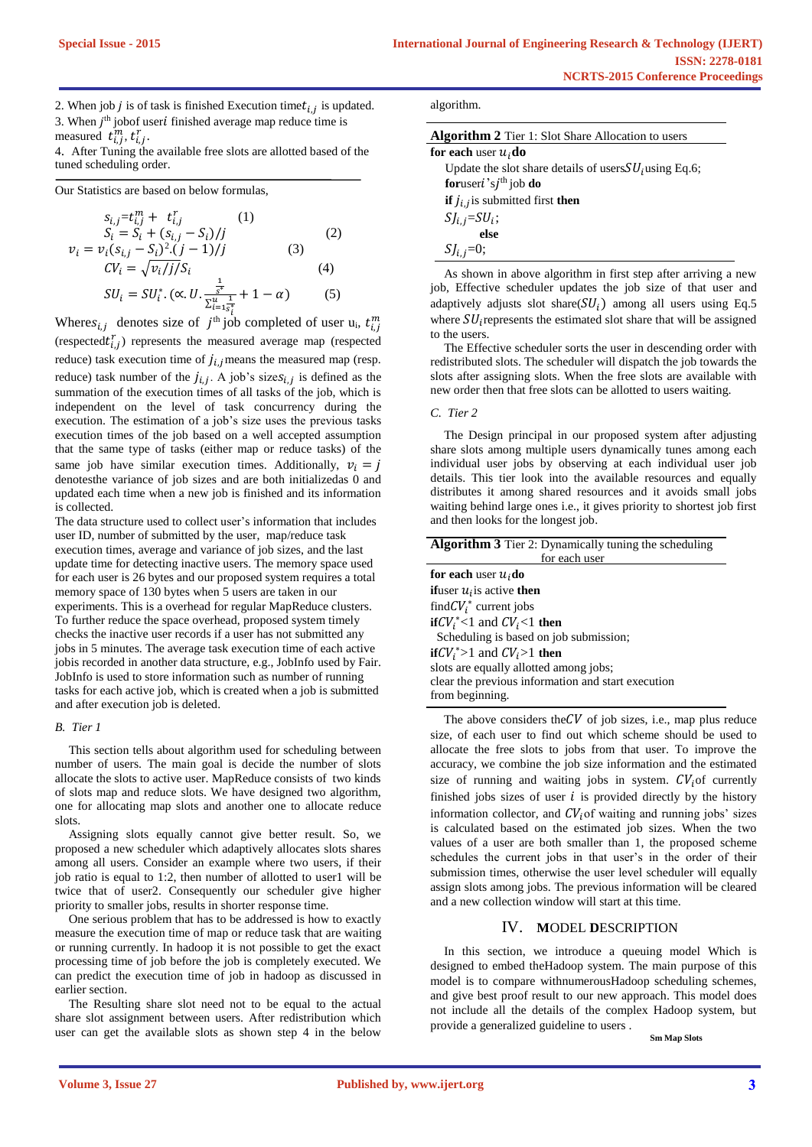2. When job *j* is of task is finished Execution time  $t_{i,j}$  is updated. 3. When  $j<sup>th</sup>$  jobof user $i$  finished average map reduce time is measured  $\vec{t}_{i,j}^m$ ,  $\vec{t}_{i,j}^r$ .

4. After Tuning the available free slots are allotted based of the tuned scheduling order.

Our Statistics are based on below formulas,

$$
s_{i,j} = t_{i,j}^m + t_{i,j}^r \t\t(1)
$$
  
\n
$$
S_i = S_i + (s_{i,j} - S_i)/j \t\t(2)
$$
  
\n
$$
v_i = v_i(s_{i,j} - S_i)^2 \t\t(1 - 1)/j \t\t(3)
$$
  
\n
$$
CV_i = \sqrt{v_i / j / S_i} \t\t(4)
$$
  
\n
$$
SU_i = SU_i^* \t\t( \propto U \tcdot \frac{\frac{1}{S_i}}{\sum_{i=1}^u \frac{1}{S_i^*}} + 1 - \alpha \t\t(5)
$$

Wheres<sub>i,j</sub> denotes size of  $j^{\text{th}}$  job completed of user u<sub>i</sub>,  $t_{i,j}^m$ (respected $t_{i,j}^r$ ) represents the measured average map (respected reduce) task execution time of  $j_{i,j}$  means the measured map (resp. reduce) task number of the  $j_{i,j}$ . A job's sizes<sub>i,j</sub> is defined as the summation of the execution times of all tasks of the job, which is independent on the level of task concurrency during the execution. The estimation of a job's size uses the previous tasks execution times of the job based on a well accepted assumption that the same type of tasks (either map or reduce tasks) of the same job have similar execution times. Additionally,  $v_i = j$ denotesthe variance of job sizes and are both initializedas 0 and updated each time when a new job is finished and its information is collected.

The data structure used to collect user's information that includes user ID, number of submitted by the user, map/reduce task execution times, average and variance of job sizes, and the last update time for detecting inactive users. The memory space used for each user is 26 bytes and our proposed system requires a total memory space of 130 bytes when 5 users are taken in our experiments. This is a overhead for regular MapReduce clusters. To further reduce the space overhead, proposed system timely checks the inactive user records if a user has not submitted any jobs in 5 minutes. The average task execution time of each active jobis recorded in another data structure, e.g., JobInfo used by Fair. JobInfo is used to store information such as number of running tasks for each active job, which is created when a job is submitted and after execution job is deleted.

## *B. Tier 1*

This section tells about algorithm used for scheduling between number of users. The main goal is decide the number of slots allocate the slots to active user. MapReduce consists of two kinds of slots map and reduce slots. We have designed two algorithm, one for allocating map slots and another one to allocate reduce slots.

Assigning slots equally cannot give better result. So, we proposed a new scheduler which adaptively allocates slots shares among all users. Consider an example where two users, if their job ratio is equal to 1:2, then number of allotted to user1 will be twice that of user2. Consequently our scheduler give higher priority to smaller jobs, results in shorter response time.

One serious problem that has to be addressed is how to exactly measure the execution time of map or reduce task that are waiting or running currently. In hadoop it is not possible to get the exact processing time of job before the job is completely executed. We can predict the execution time of job in hadoop as discussed in earlier section.

The Resulting share slot need not to be equal to the actual share slot assignment between users. After redistribution which user can get the available slots as shown step 4 in the below

| algorithm. |
|------------|
|            |

| <b>Algorithm 2</b> Tier 1: Slot Share Allocation to users |  |  |  |
|-----------------------------------------------------------|--|--|--|
| for each user $u_i$ do                                    |  |  |  |
| Update the slot share details of users $SUi$ using Eq.6;  |  |  |  |
| for user $i$ 's $j$ <sup>th</sup> job do                  |  |  |  |
| <b>if</b> $j_{i,j}$ is submitted first <b>then</b>        |  |  |  |
| $SI_{i,j} = SU_i;$                                        |  |  |  |
| else                                                      |  |  |  |
| $SJ_{i,j}=0;$                                             |  |  |  |

As shown in above algorithm in first step after arriving a new job, Effective scheduler updates the job size of that user and adaptively adjusts slot share( $SU<sub>i</sub>$ ) among all users using Eq.5 where  $SU_i$  represents the estimated slot share that will be assigned to the users.

The Effective scheduler sorts the user in descending order with redistributed slots. The scheduler will dispatch the job towards the slots after assigning slots. When the free slots are available with new order then that free slots can be allotted to users waiting.

#### *C. Tier 2*

The Design principal in our proposed system after adjusting share slots among multiple users dynamically tunes among each individual user jobs by observing at each individual user job details. This tier look into the available resources and equally distributes it among shared resources and it avoids small jobs waiting behind large ones i.e., it gives priority to shortest job first and then looks for the longest job.

| <b>Algorithm 3</b> Tier 2: Dynamically tuning the scheduling |  |  |  |  |
|--------------------------------------------------------------|--|--|--|--|
| for each user                                                |  |  |  |  |
| for each user $u_i$ do                                       |  |  |  |  |
| <b>if</b> user $u_i$ is active <b>then</b>                   |  |  |  |  |
| find $CV_i^*$ current jobs                                   |  |  |  |  |
| if $CV_i^*$ < 1 and $CV_i$ < 1 then                          |  |  |  |  |
| Scheduling is based on job submission;                       |  |  |  |  |
| $\textbf{if}CV_i^* > 1$ and $CV_i > 1$ then                  |  |  |  |  |
| slots are equally allotted among jobs;                       |  |  |  |  |
| clear the previous information and start execution           |  |  |  |  |
| from beginning.                                              |  |  |  |  |
|                                                              |  |  |  |  |

The above considers the  $CV$  of job sizes, i.e., map plus reduce size, of each user to find out which scheme should be used to allocate the free slots to jobs from that user. To improve the accuracy, we combine the job size information and the estimated size of running and waiting jobs in system.  $CV_i$  of currently finished jobs sizes of user  $i$  is provided directly by the history information collector, and  $CV_i$  of waiting and running jobs' sizes is calculated based on the estimated job sizes. When the two values of a user are both smaller than 1, the proposed scheme schedules the current jobs in that user's in the order of their submission times, otherwise the user level scheduler will equally assign slots among jobs. The previous information will be cleared and a new collection window will start at this time.

## IV. **M**ODEL **D**ESCRIPTION

In this section, we introduce a queuing model Which is designed to embed theHadoop system. The main purpose of this model is to compare withnumerousHadoop scheduling schemes, and give best proof result to our new approach. This model does not include all the details of the complex Hadoop system, but provide a generalized guideline to users .

**Sm Map Slots**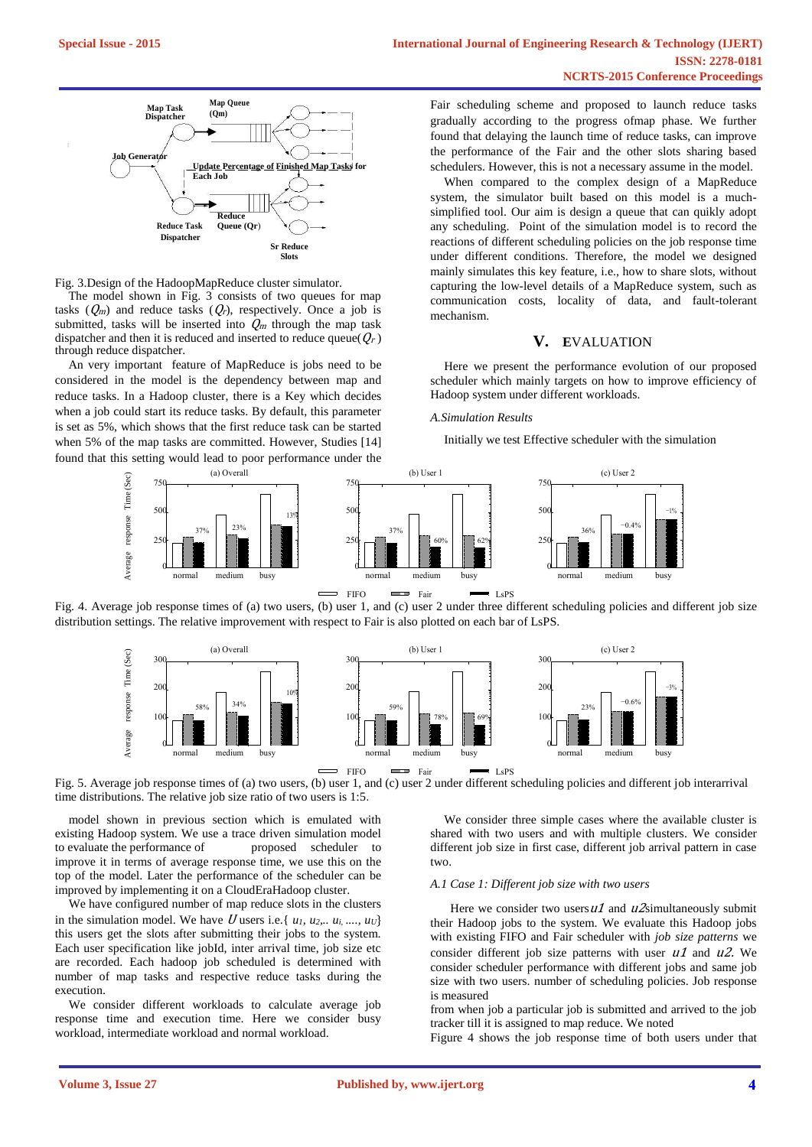

Fig. 3.Design of the HadoopMapReduce cluster simulator.

The model shown in Fig.  $3$  consists of two queues for map tasks  $(Q_m)$  and reduce tasks  $(Q_r)$ , respectively. Once a job is submitted, tasks will be inserted into  $Q_m$  through the map task dispatcher and then it is reduced and inserted to reduce queue( $Q_r$ ) through reduce dispatcher.

An very important feature of MapReduce is jobs need to be considered in the model is the dependency between map and reduce tasks. In a Hadoop cluster, there is a Key which decides when a job could start its reduce tasks. By default, this parameter is set as 5%, which shows that the first reduce task can be started when 5% of the map tasks are committed. However, Studies [14] found that this setting would lead to poor performance under the

Fair scheduling scheme and proposed to launch reduce tasks gradually according to the progress ofmap phase. We further found that delaying the launch time of reduce tasks, can improve the performance of the Fair and the other slots sharing based schedulers. However, this is not a necessary assume in the model.

When compared to the complex design of a MapReduce system, the simulator built based on this model is a muchsimplified tool. Our aim is design a queue that can quikly adopt any scheduling. Point of the simulation model is to record the reactions of different scheduling policies on the job response time under different conditions. Therefore, the model we designed mainly simulates this key feature, i.e., how to share slots, without capturing the low-level details of a MapReduce system, such as communication costs, locality of data, and fault-tolerant mechanism.

## **V. E**VALUATION

Here we present the performance evolution of our proposed scheduler which mainly targets on how to improve efficiency of Hadoop system under different workloads.

#### *A.Simulation Results*

Initially we test Effective scheduler with the simulation



Fig. 4. Average job response times of (a) two users, (b) user 1, and (c) user 2 under three different scheduling policies and different job size distribution settings. The relative improvement with respect to Fair is also plotted on each bar of LsPS.



Fig. 5. Average job response times of (a) two users, (b) user 1, and (c) user 2 under different scheduling policies and different job interarrival time distributions. The relative job size ratio of two users is 1:5.

model shown in previous section which is emulated with existing Hadoop system. We use a trace driven simulation model to evaluate the performance of proposed scheduler to improve it in terms of average response time, we use this on the top of the model. Later the performance of the scheduler can be improved by implementing it on a CloudEraHadoop cluster.

We have configured number of map reduce slots in the clusters in the simulation model. We have U users i.e.  $\{u_1, u_2, \ldots, u_i, \ldots, u_U\}$ this users get the slots after submitting their jobs to the system. Each user specification like jobId, inter arrival time, job size etc are recorded. Each hadoop job scheduled is determined with number of map tasks and respective reduce tasks during the execution.

We consider different workloads to calculate average job response time and execution time. Here we consider busy workload, intermediate workload and normal workload.

We consider three simple cases where the available cluster is shared with two users and with multiple clusters. We consider different job size in first case, different job arrival pattern in case two.

#### *A.1 Case 1: Different job size with two users*

Here we consider two users  $u1$  and  $u2$ simultaneously submit their Hadoop jobs to the system. We evaluate this Hadoop jobs with existing FIFO and Fair scheduler with *job size patterns* we consider different job size patterns with user  $u_1$  and  $u_2$ . We consider scheduler performance with different jobs and same job size with two users. number of scheduling policies. Job response is measured

from when job a particular job is submitted and arrived to the job tracker till it is assigned to map reduce. We noted

Figure 4 shows the job response time of both users under that